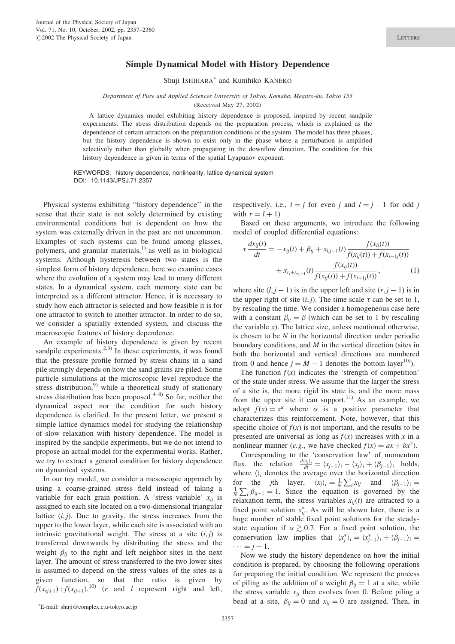## Simple Dynamical Model with History Dependence

Shuji ISHIHARA<sup>\*</sup> and Kunihiko KANEKO

Department of Pure and Applied Sciences University of Tokyo, Komaba, Meguro-ku, Tokyo 153

(Received May 27, 2002)

A lattice dynamics model exhibiting history dependence is proposed, inspired by recent sandpile experiments. The stress distribution depends on the preparation process, which is explained as the dependence of certain attractors on the preparation conditions of the system. The model has three phases, but the history dependence is shown to exist only in the phase where a perturbation is amplified selectively rather than globally when propagating in the downflow direction. The condition for this history dependence is given in terms of the spatial Lyapunov exponent.

KEYWORDS: history dependence, nonlinearity, lattice dynamical system DOI: 10.1143/JPSJ.71.2357

Physical systems exhibiting ''history dependence'' in the sense that their state is not solely determined by existing environmental conditions but is dependent on how the system was externally driven in the past are not uncommon. Examples of such systems can be found among glasses, polymers, and granular materials, $\frac{1}{1}$  as well as in biological systems. Although hysteresis between two states is the simplest form of history dependence, here we examine cases where the evolution of a system may lead to many different states. In a dynamical system, each memory state can be interpreted as a different attractor. Hence, it is necessary to study how each attractor is selected and how feasible it is for one attractor to switch to another attractor. In order to do so, we consider a spatially extended system, and discuss the macroscopic features of history dependence.

An example of history dependence is given by recent sandpile experiments.<sup>2,3)</sup> In these experiments, it was found that the pressure profile formed by stress chains in a sand pile strongly depends on how the sand grains are piled. Some particle simulations at the microscopic level reproduce the stress distribution, $9$  while a theoretical study of stationary stress distribution has been proposed. $4-8$ ) So far, neither the dynamical aspect nor the condition for such history dependence is clarified. In the present letter, we present a simple lattice dynamics model for studying the relationship of slow relaxation with history dependence. The model is inspired by the sandpile experiments, but we do not intend to propose an actual model for the experimental works. Rather, we try to extract a general condition for history dependence on dynamical systems.

In our toy model, we consider a mesoscopic approach by using a coarse-grained stress field instead of taking a variable for each grain position. A 'stress variable'  $x_{ij}$  is assigned to each site located on a two-dimensional triangular lattice  $(i, j)$ . Due to gravity, the stress increases from the upper to the lower layer, while each site is associated with an intrinsic gravitational weight. The stress at a site  $(i, j)$  is transferred downwards by distributing the stress and the weight  $\beta_{ij}$  to the right and left neighbor sites in the next layer. The amount of stress transferred to the two lower sites is assumed to depend on the stress values of the sites as a given function, so that the ratio is given by  $f(x_{rj+1}): f(x_{lj+1})$ <sup>10)</sup> (*r* and *l* represent right and left,

respectively, i.e.,  $l = j$  for even j and  $l = j - 1$  for odd j with  $r = l + 1$ 

Based on these arguments, we introduce the following model of coupled differential equations:

$$
\tau \frac{dx_{ij}(t)}{dt} = -x_{ij}(t) + \beta_{ij} + x_{l,j-1}(t) \frac{f(x_{ij}(t))}{f(x_{ij}(t)) + f(x_{i-1j}(t))} + x_{r_i + x_{r_{ij}-1}}(t) \frac{f(x_{ij}(t))}{f(x_{ij}(t)) + f(x_{i+1j}(t))},
$$
\n(1)

where site  $(l, j - 1)$  is in the upper left and site  $(r, j - 1)$  is in the upper right of site  $(i, j)$ . The time scale  $\tau$  can be set to 1, by rescaling the time. We consider a homogeneous case here with a constant  $\beta_{ij} = \beta$  (which can be set to 1 by rescaling the variable  $x$ ). The lattice size, unless mentioned otherwise, is chosen to be  $N$  in the horizontal direction under periodic boundary conditions, and  $M$  in the vertical direction (sites in both the horizontal and vertical directions are numbered from 0 and hence  $j = M - 1$  denotes the bottom layer<sup>10</sup>).

The function  $f(x)$  indicates the 'strength of competition' of the state under stress. We assume that the larger the stress of a site is, the more rigid its state is, and the more mass from the upper site it can support.<sup>11)</sup> As an example, we adopt  $f(x) = x^{\alpha}$  where  $\alpha$  is a positive parameter that characterizes this reinforcement. Note, however, that this specific choice of  $f(x)$  is not important, and the results to be presented are universal as long as  $f(x)$  increases with x in a nonlinear manner (e.g., we have checked  $f(x) = ax + bx^2$ ).

Corresponding to the 'conservation law' of momentum flux, the relation  $\frac{d(x_j)_i}{dt} = \langle x_{j-1} \rangle_i - \langle x_j \rangle_i + \langle \beta_{j-1} \rangle_i$  holds, where  $\langle \rangle_i$  denotes the average over the horizontal direction for the *j*th layer,  $\langle x_j \rangle_i = \frac{1}{N}$ For the *j*th layer,  $\langle x_j \rangle_i = \frac{1}{N} \sum_i x_{ij}$  and  $\langle \beta_{j-1} \rangle_i = \frac{1}{N} \sum_i \beta_{i+1}$ ,  $j = 1$  Since the equation is governed by the N  $\sum_i \beta_{ij-1} = 1$ . Since the equation is governed by the relaxation term, the stress variables  $x_{ij}(t)$  are attracted to a fixed point solution  $x_{ij}^*$ . As will be shown later, there is a huge number of stable fixed point solutions for the steadystate equation if  $\alpha \gtrsim 0.7$ . For a fixed point solution, the conservation law implies that  $\langle x_j^* \rangle_i = \langle x_{j-1}^* \rangle_i + \langle \beta_{j-1} \rangle_i =$  $\cdots = j + 1.$ 

Now we study the history dependence on how the initial condition is prepared, by choosing the following operations for preparing the initial condition. We represent the process of piling as the addition of a weight  $\beta_{ij} = 1$  at a site, while the stress variable  $x_{ij}$  then evolves from 0. Before piling a bead at a site,  $\beta_{ij} = 0$  and  $x_{ij} = 0$  are assigned. Then, in

E-mail: shuji@complex.c.u-tokyo.ac.jp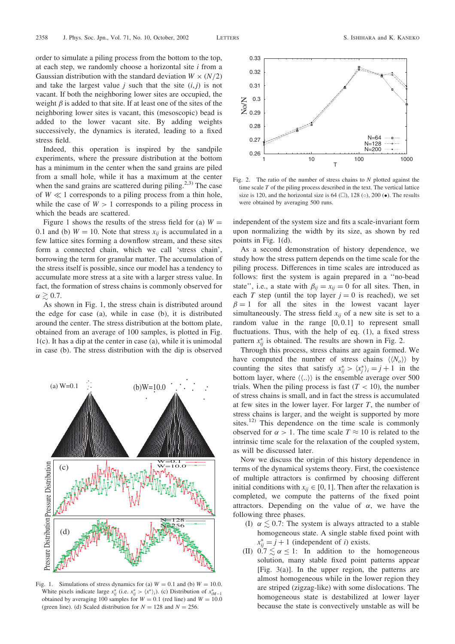order to simulate a piling process from the bottom to the top, at each step, we randomly choose a horizontal site  $i$  from a Gaussian distribution with the standard deviation  $W \times (N/2)$ and take the largest value j such that the site  $(i, j)$  is not vacant. If both the neighboring lower sites are occupied, the weight  $\beta$  is added to that site. If at least one of the sites of the neighboring lower sites is vacant, this (mesoscopic) bead is added to the lower vacant site. By adding weights successively, the dynamics is iterated, leading to a fixed stress field.

Indeed, this operation is inspired by the sandpile experiments, where the pressure distribution at the bottom has a minimum in the center when the sand grains are piled from a small hole, while it has a maximum at the center when the sand grains are scattered during piling.<sup>2,3)</sup> The case of  $W \ll 1$  corresponds to a piling process from a thin hole, while the case of  $W > 1$  corresponds to a piling process in which the beads are scattered.

Figure 1 shows the results of the stress field for (a)  $W =$ 0.1 and (b)  $W = 10$ . Note that stress  $x_{ii}$  is accumulated in a few lattice sites forming a downflow stream, and these sites forma connected chain, which we call 'stress chain', borrowing the term for granular matter. The accumulation of the stress itself is possible, since our model has a tendency to accumulate more stress at a site with a larger stress value. In fact, the formation of stress chains is commonly observed for  $\alpha \gtrsim 0.7$ .

As shown in Fig. 1, the stress chain is distributed around the edge for case (a), while in case (b), it is distributed around the center. The stress distribution at the bottomplate, obtained froman average of 100 samples, is plotted in Fig. 1(c). It has a dip at the center in case (a), while it is unimodal in case (b). The stress distribution with the dip is observed

 $(b)W=10.0$ 

 $W=0.1$  $W=0.1$ <br> $W=10.0$ 

> $N = 128$ N=256



Pressure Distribution

Pressure Distribution

Pressure Distribution Pressure Distribution

(d)

(c)

 $(a) W=0.1$ 



Fig. 2. The ratio of the number of stress chains to  $N$  plotted against the time scale T of the piling process described in the text. The vertical lattice size is 120, and the horizontal size is 64  $(\square)$ , 128  $(\circ)$ , 200  $(\bullet)$ . The results were obtained by averaging 500 runs.

independent of the systemsize and fits a scale-invariant form upon normalizing the width by its size, as shown by red points in Fig. 1(d).

As a second demonstration of history dependence, we study how the stress pattern depends on the time scale for the piling process. Differences in time scales are introduced as follows: first the system is again prepared in a "no-bead state", i.e., a state with  $\beta_{ij} = x_{ij} = 0$  for all sites. Then, in each T step (until the top layer  $j = 0$  is reached), we set  $\beta = 1$  for all the sites in the lowest vacant layer simultaneously. The stress field  $x_{ij}$  of a new site is set to a random value in the range  $[0, 0.1]$  to represent small fluctuations. Thus, with the help of eq. (1), a fixed stress pattern  $x_{ij}^*$  is obtained. The results are shown in Fig. 2.

Through this process, stress chains are again formed. We have computed the number of stress chains  $\langle \langle N_o \rangle \rangle$  by counting the sites that satisfy  $x_{ij}^* > \langle x_j^* \rangle_i = j + 1$  in the bottom layer, where  $\langle \langle ... \rangle \rangle$  is the ensemble average over 500 trials. When the piling process is fast  $(T < 10)$ , the number of stress chains is small, and in fact the stress is accumulated at few sites in the lower layer. For larger  $T$ , the number of stress chains is larger, and the weight is supported by more sites.<sup>12)</sup> This dependence on the time scale is commonly observed for  $\alpha > 1$ . The time scale  $T \approx 10$  is related to the intrinsic time scale for the relaxation of the coupled system, as will be discussed later.

Now we discuss the origin of this history dependence in terms of the dynamical systems theory. First, the coexistence of multiple attractors is confirmed by choosing different initial conditions with  $x_{ij} \in [0, 1]$ . Then after the relaxation is completed, we compute the patterns of the fixed point attractors. Depending on the value of  $\alpha$ , we have the following three phases.

- (I)  $\alpha \leq 0.7$ : The system is always attracted to a stable homogeneous state. A single stable fixed point with  $x_{ij}^* = j + 1$  (independent of *i*) exists.
- (II)  $0.7 \le \alpha \le 1$ : In addition to the homogeneous solution, many stable fixed point patterns appear [Fig. 3(a)]. In the upper region, the patterns are almost homogeneous while in the lower region they are striped (zigzag-like) with some dislocations. The homogeneous state is destabilized at lower layer because the state is convectively unstable as will be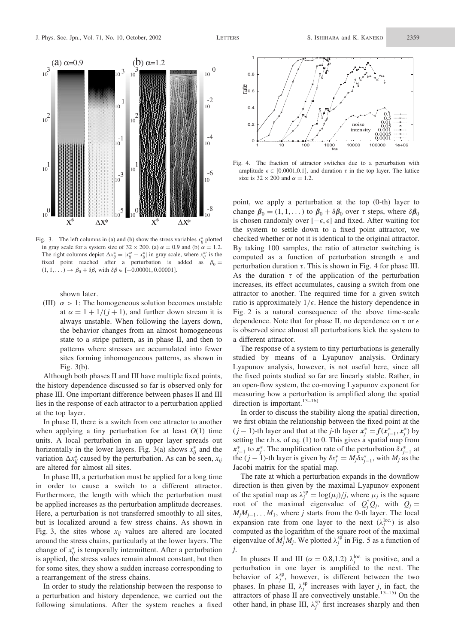

Fig. 3. The left columns in (a) and (b) show the stress variables  $x_{ij}^*$  plotted in gray scale for a system size of  $32 \times 200$ . (a)  $\alpha = 0.9$  and (b)  $\alpha = 1.2$ . The right columns depict  $\Delta x_{ij}^* = |x_{ij}^{*'} - x_{ij}^{*}|$  in gray scale, where  $x_{ij}^{*'}$  is the fixed point reached after a perturbation is added as  $\beta_0 =$  $(1, 1, \dots) \to \beta_0 + \delta \beta$ , with  $\delta \beta \in [-0.00001, 0.00001]$ .

shown later.

(III)  $\alpha > 1$ : The homogeneous solution becomes unstable at  $\alpha = 1 + 1/(j + 1)$ , and further down stream it is always unstable. When following the layers down, the behavior changes from an almost homogeneous state to a stripe pattern, as in phase II, and then to patterns where stresses are accumulated into fewer sites forming inhomogeneous patterns, as shown in Fig. 3(b).

Although both phases II and III have multiple fixed points, the history dependence discussed so far is observed only for phase III. One important difference between phases II and III lies in the response of each attractor to a perturbation applied at the top layer.

In phase II, there is a switch fromone attractor to another when applying a tiny perturbation for at least  $O(1)$  time units. A local perturbation in an upper layer spreads out horizontally in the lower layers. Fig. 3(a) shows  $x_{ij}^*$  and the variation  $\Delta x_{ij}^*$  caused by the perturbation. As can be seen,  $x_{ij}$ are altered for almost all sites.

In phase III, a perturbation must be applied for a long time in order to cause a switch to a different attractor. Furthermore, the length with which the perturbation must be applied increases as the perturbation amplitude decreases. Here, a perturbation is not transferred smoothly to all sites, but is localized around a few stress chains. As shown in Fig. 3, the sites whose  $x_{ii}$  values are altered are located around the stress chains, particularly at the lower layers. The change of  $x_{ij}^*$  is temporally intermittent. After a perturbation is applied, the stress values remain almost constant, but then for some sites, they show a sudden increase corresponding to a rearrangement of the stress chains.

In order to study the relationship between the response to a perturbation and history dependence, we carried out the following simulations. After the system reaches a fixed



Fig. 4. The fraction of attractor switches due to a perturbation with amplitude  $\epsilon \in [0.0001, 0.1]$ , and duration  $\tau$  in the top layer. The lattice size is  $32 \times 200$  and  $\alpha = 1.2$ .

point, we apply a perturbation at the top (0-th) layer to change  $\beta_0 = (1, 1, \dots)$  to  $\beta_0 + \delta \beta_0$  over  $\tau$  steps, where  $\delta \beta_0$ is chosen randomly over  $[-\epsilon, \epsilon]$  and fixed. After waiting for the system to settle down to a fixed point attractor, we checked whether or not it is identical to the original attractor. By taking 100 samples, the ratio of attractor switching is computed as a function of perturbation strength  $\epsilon$  and perturbation duration  $\tau$ . This is shown in Fig. 4 for phase III. As the duration  $\tau$  of the application of the perturbation increases, its effect accumulates, causing a switch from one attractor to another. The required time for a given switch ratio is approximately  $1/\epsilon$ . Hence the history dependence in Fig. 2 is a natural consequence of the above time-scale dependence. Note that for phase II, no dependence on  $\tau$  or  $\epsilon$ is observed since almost all perturbations kick the system to a different attractor.

The response of a system to tiny perturbations is generally studied by means of a Lyapunov analysis. Ordinary Lyapunov analysis, however, is not useful here, since all the fixed points studied so far are linearly stable. Rather, in an open-flow system, the co-moving Lyapunov exponent for measuring how a perturbation is amplified along the spatial direction is important.<sup>13-16)</sup>

In order to discuss the stability along the spatial direction, we first obtain the relationship between the fixed point at the  $(j-1)$ -th layer and that at the *j*-th layer  $x_j^* = f(x_{j-1}^*, x_j^*)$  by setting the r.h.s. of eq. (1) to 0. This gives a spatial map from  $x_{j-1}^*$  to  $x_j^*$ . The amplification rate of the perturbation  $\delta x_{j-1}^*$  at the  $(j-1)$ -th layer is given by  $\delta x_j^* = M_j \delta x_{j-1}^*$ , with  $M_j$  as the Jacobi matrix for the spatial map.

The rate at which a perturbation expands in the downflow direction is then given by the maximal Lyapunov exponent of the spatial map as  $\lambda_j^{sp} = \log(\mu_j)/j$ , where  $\mu_j$  is the square root of the maximal eigenvalue of  $Q_j^{\dagger} Q_j$ , with  $Q_j =$  $M_iM_{i-1}$ ... $M_1$ , where *j* starts from the 0-th layer. The local expansion rate from one layer to the next  $(\lambda_j^{\text{loc.}})$  is also computed as the logarithm of the square root of the maximal eigenvalue of  $M_j^{\dagger}M_j$ . We plotted  $\lambda_j^{\text{sp}}$  in Fig. 5 as a function of j.

In phases II and III ( $\alpha = 0.8, 1.2$ )  $\lambda_j^{\text{loc.}}$  is positive, and a perturbation in one layer is amplified to the next. The behavior of  $\lambda_j^{\text{sp}}$ , however, is different between the two phases. In phase II,  $\lambda_j^{\text{sp}}$  increases with layer j, in fact, the attractors of phase II are convectively unstable.<sup>13-15)</sup> On the other hand, in phase III,  $\lambda_j^{\text{sp}}$  first increases sharply and then